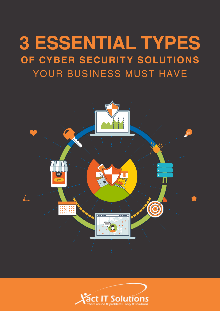# **3 ESSENTIAL TYPES OF CYBER SECURITY SOLUTIONS** YOUR BUSINESS MUST HAVE



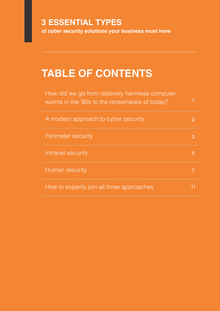## **3 ESSENTIAL TYPES**

**of cyber security solutions your business must have**

## **TABLE OF CONTENTS**

| How did we go from relatively harmless computer<br>worms in the '80s to the ransomware of today? |   |
|--------------------------------------------------------------------------------------------------|---|
| A modern approach to cyber security                                                              |   |
| <b>Perimeter security</b>                                                                        | З |
| Intranet security                                                                                |   |
| Human security                                                                                   |   |
| How to expertly join all three approaches                                                        |   |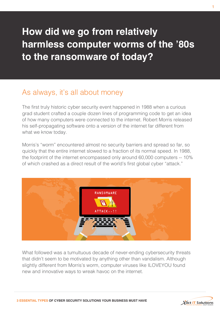## <span id="page-2-0"></span>**How did we go from relatively harmless computer worms of the '80s to the ransomware of today?**

## As always, it's all about money

The first truly historic cyber security event happened in 1988 when a curious grad student crafted a couple dozen lines of programming code to get an idea of how many computers were connected to the internet. Robert Morris released his self-propagating software onto a version of the internet far different from what we know today.

Morris's "worm" encountered almost no security barriers and spread so far, so quickly that the entire internet slowed to a fraction of its normal speed. In 1988, the footprint of the internet encompassed only around 60,000 computers -- 10% of which crashed as a direct result of the world's first global cyber "attack."



What followed was a tumultuous decade of never-ending cybersecurity threats that didn't seem to be motivated by anything other than vandalism. Although slightly different from Morris's worm, computer viruses like ILOVEYOU found new and innovative ways to wreak havoc on the internet.



1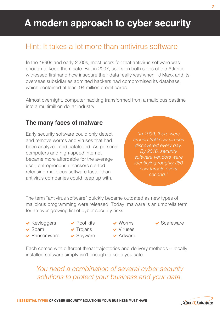## <span id="page-3-0"></span>**A modern approach to cyber security**

## Hint: It takes a lot more than antivirus software

In the 1990s and early 2000s, most users felt that antivirus software was enough to keep them safe. But in 2007, users on both sides of the Atlantic witnessed firsthand how insecure their data really was when TJ Maxx and its overseas subsidiaries admitted hackers had compromised its database, which contained at least 94 million credit cards.

Almost overnight, computer hacking transformed from a malicious pastime into a multimillion dollar industry.

#### **The many faces of malware**

Early security software could only detect and remove worms and viruses that had been analyzed and cataloged. As personal computers and high-speed internet became more affordable for the average user, entrepreneurial hackers started releasing malicious software faster than antivirus companies could keep up with.

*"In 1999, there were around 250 new viruses discovered every day. By 2016, security software vendors were identifying roughly 250 new threats every second."*

The term "antivirus software" quickly became outdated as new types of malicious programming were released. Today, malware is an umbrella term for an ever-growing list of cyber security risks:

- $\blacktriangleright$  Keyloggers
- $\blacktriangleright$  Spam
- $\blacktriangleright$  Ransomware
- $\blacktriangleright$  Root kits  $\blacktriangleright$  Trojans
- ◆ Spyware
- Worms Viruses  $\blacktriangleright$  Adware
- Scareware

Each comes with different threat trajectories and delivery methods -- locally installed software simply isn't enough to keep you safe.

*You need a combination of several cyber security solutions to protect your business and your data.*

 $\overline{2}$ 

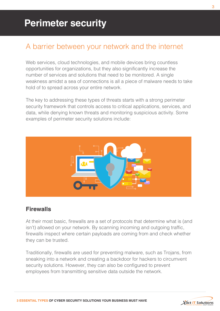### <span id="page-4-0"></span>A barrier between your network and the internet

Web services, cloud technologies, and mobile devices bring countless opportunities for organizations, but they also significantly increase the number of services and solutions that need to be monitored. A single weakness amidst a sea of connections is all a piece of malware needs to take hold of to spread across your entire network.

The key to addressing these types of threats starts with a strong perimeter security framework that controls access to critical applications, services, and data, while denying known threats and monitoring suspicious activity. Some examples of perimeter security solutions include:



#### **Firewalls**

At their most basic, firewalls are a set of protocols that determine what is (and isn't) allowed on your network. By scanning incoming and outgoing traffic, firewalls inspect where certain payloads are coming from and check whether they can be trusted.

Traditionally, firewalls are used for preventing malware, such as Trojans, from sneaking into a network and creating a backdoor for hackers to circumvent security solutions. However, they can also be configured to prevent employees from transmitting sensitive data outside the network.

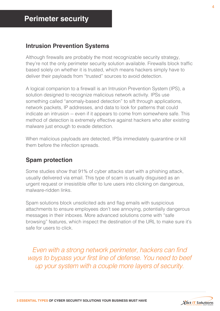#### **Intrusion Prevention Systems**

Although firewalls are probably the most recognizable security strategy, they're not the only perimeter security solution available. Firewalls block traffic based solely on whether it is trusted, which means hackers simply have to deliver their payloads from "trusted" sources to avoid detection.

A logical companion to a firewall is an Intrusion Prevention System (IPS), a solution designed to recognize malicious network activity. IPSs use something called "anomaly-based detection" to sift through applications, network packets, IP addresses, and data to look for patterns that could indicate an intrusion -- even if it appears to come from somewhere safe. This method of detection is extremely effective against hackers who alter existing malware just enough to evade detection.

When malicious payloads are detected, IPSs immediately quarantine or kill them before the infection spreads.

#### **Spam protection**

Some studies show that 91% of cyber attacks start with a phishing attack, usually delivered via email. This type of scam is usually disguised as an urgent request or irresistible offer to lure users into clicking on dangerous, malware-ridden links.

Spam solutions block unsolicited ads and flag emails with suspicious attachments to ensure employees don't see annoying, potentially dangerous messages in their inboxes. More advanced solutions come with "safe browsing" features, which inspect the destination of the URL to make sure it's safe for users to click.

*Even with a strong network perimeter, hackers can find ways to bypass your first line of defense. You need to beef up your system with a couple more layers of security.* 

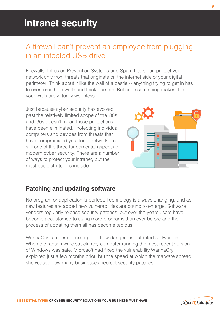### <span id="page-6-0"></span>A firewall can't prevent an employee from plugging in an infected USB drive

Firewalls, Intrusion Prevention Systems and Spam filters can protect your network only from threats that originate on the internet side of your digital perimeter. Think about it like the wall of a castle -- anything trying to get in has to overcome high walls and thick barriers. But once something makes it in, your walls are virtually worthless.

Just because cyber security has evolved past the relatively limited scope of the '80s and '90s doesn't mean those protections have been eliminated. Protecting individual computers and devices from threats that have compromised your local network are still one of the three fundamental aspects of modern cyber security. There are a number of ways to protect your intranet, but the most basic strategies include:



#### **Patching and updating software**

No program or application is perfect. Technology is always changing, and as new features are added new vulnerabilities are bound to emerge. Software vendors regularly release security patches, but over the years users have become accustomed to using more programs than ever before and the process of updating them all has become tedious.

WannaCry is a perfect example of how dangerous outdated software is. When the ransomware struck, any computer running the most recent version of Windows was safe. Microsoft had fixed the vulnerability WannaCry exploited just a few months prior, but the speed at which the malware spread showcased how many businesses neglect security patches.

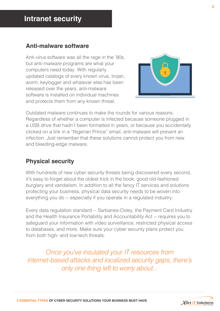#### **Anti-malware software**

Anti-*virus* software was all the rage in the '90s, but anti-*malware* programs are what your computers need today. With regularly updated catalogs of every known virus, trojan, worm, keylogger and whatever else has been released over the years, anti-malware software is installed on individual machines and protects them from any known threat.



Outdated malware continues to make the rounds for various reasons. Regardless of whether a computer is infected because someone plugged in a USB drive that hadn't been formatted in years, or because you accidentally clicked on a link in a "Nigerian Prince" email, anti-malware will prevent an infection. Just remember that these solutions cannot protect you from new and bleeding-edge malware.

#### **Physical security**

With hundreds of new cyber security threats being discovered every second, it's easy to forget about the oldest trick in the book: good old-fashioned burglary and vandalism. In addition to all the fancy IT services and solutions protecting your business, physical data security needs to be woven into everything you do -- especially if you operate in a regulated industry.

Every data regulation standard -- Sarbanes-Oxley, the Payment Card Industry and the Health Insurance Portability and Accountability Act -- requires you to safeguard your information with video surveillance, restricted physical access to databases, and more. Make sure your cyber security plans protect you from both high- and low-tech threats.

*Once you've insulated your IT resources from internet-based attacks and localized security gaps, there's only one thing left to worry about...*

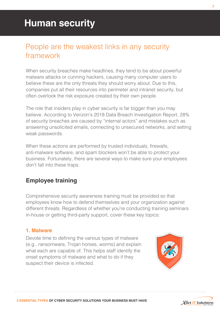## <span id="page-8-0"></span>People are the weakest links in any security framework

When security breaches make headlines, they tend to be about powerful malware attacks or cunning hackers, causing many computer users to believe these are the only threats they should worry about. Due to this, companies put all their resources into perimeter and intranet security, but often overlook the risk exposure created by their own people.

The role that insiders play in cyber security is far bigger than you may believe. According to Verizon's 2018 Data Breach Investigation Report, 28% of security breaches are caused by "internal actors" and mistakes such as answering unsolicited emails, connecting to unsecured networks, and setting weak passwords.

When these actions are performed by trusted individuals, firewalls, anti-malware software, and spam blockers won't be able to protect your business. Fortunately, there are several ways to make sure your employees don't fall into these traps.

#### **Employee training**

Comprehensive security awareness training must be provided so that employees know how to defend themselves and your organization against different threats. Regardless of whether you're conducting training seminars in-house or getting third-party support, cover these key topics:

#### **1. Malware**

Devote time to defining the various types of malware (e.g., ransomware, Trojan horses, worms) and explain what each are capable of. This helps staff identify the onset symptoms of malware and what to do if they suspect their device is infected.





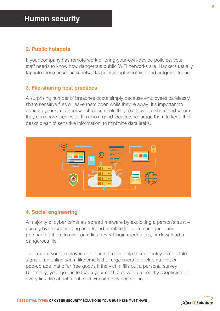#### **2. Public hotspots**

If your company has remote work or bring-your-own-device policies, your staff needs to know how dangerous public WiFi networks are. Hackers usually tap into these unsecured networks to intercept incoming and outgoing traffic.

#### **3. File-sharing best practices**

A surprising number of breaches occur simply because employees carelessly share sensitive files or leave them open while they're away. It's important to educate your staff about which documents they're allowed to share and whom they can share them with. It's also a good idea to encourage them to keep their desks clean of sensitive information, to minimize data leaks.



#### **4. Social engineering**

A majority of cyber criminals spread malware by exploiting a person's trust - usually by masquerading as a friend, bank teller, or a manager -- and persuading them to click on a link, reveal login credentials, or download a dangerous file.

To prepare your employees for these threats, help them identify the tell-tale signs of an online scam like emails that urge users to click on a link, or pop-up ads that offer free goods if the victim fills out a personal survey. Ultimately, your goal is to teach your staff to develop a healthy skepticism of every link, file attachment, and website they see online.

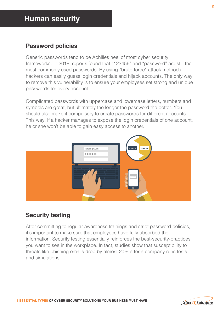#### **Password policies**

Generic passwords tend to be Achilles heel of most cyber security frameworks. In 2018, reports found that "123456" and "password" are still the most commonly used passwords. By using "brute-force" attack methods, hackers can easily guess login credentials and hijack accounts. The only way to remove this vulnerability is to ensure your employees set strong and unique passwords for every account.

Complicated passwords with uppercase and lowercase letters, numbers and symbols are great, but ultimately the longer the password the better. You should also make it compulsory to create passwords for different accounts. This way, if a hacker manages to expose the login credentials of one account, he or she won't be able to gain easy access to another.



#### **Security testing**

After committing to regular awareness trainings and strict password policies, it's important to make sure that employees have fully absorbed the information. Security testing essentially reinforces the best-security-practices you want to see in the workplace. In fact, studies show that susceptibility to threats like phishing emails drop by almost 20% after a company runs tests and simulations.

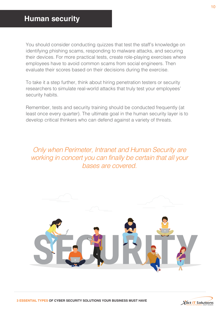You should consider conducting quizzes that test the staff's knowledge on identifying phishing scams, responding to malware attacks, and securing their devices. For more practical tests, create role-playing exercises where employees have to avoid common scams from social engineers. Then evaluate their scores based on their decisions during the exercise.

To take it a step further, think about hiring penetration testers or security researchers to simulate real-world attacks that truly test your employees' security habits.

Remember, tests and security training should be conducted frequently (at least once every quarter). The ultimate goal in the human security layer is to develop critical thinkers who can defend against a variety of threats.

*Only when Perimeter, Intranet and Human Security are working in concert you can finally be certain that all your bases are covered.*





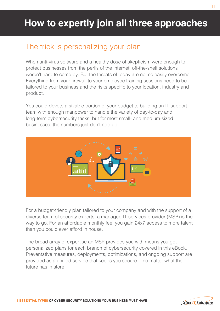## <span id="page-12-0"></span>The trick is personalizing your plan

When anti-virus software and a healthy dose of skepticism were enough to protect businesses from the perils of the internet, off-the-shelf solutions weren't hard to come by. But the threats of today are not so easily overcome. Everything from your firewall to your employee training sessions need to be tailored to your business and the risks specific to your location, industry and product.

You could devote a sizable portion of your budget to building an IT support team with enough manpower to handle the variety of day-to-day and long-term cybersecurity tasks, but for most small- and medium-sized businesses, the numbers just don't add up.



For a budget-friendly plan tailored to your company and with the support of a diverse team of security experts, a managed IT services provider (MSP) is the way to go. For an affordable monthly fee, you gain 24x7 access to more talent than you could ever afford in house.

The broad array of expertise an MSP provides you with means you get personalized plans for each branch of cybersecurity covered in this eBook. Preventative measures, deployments, optimizations, and ongoing support are provided as a unified service that keeps you secure -- no matter what the future has in store.